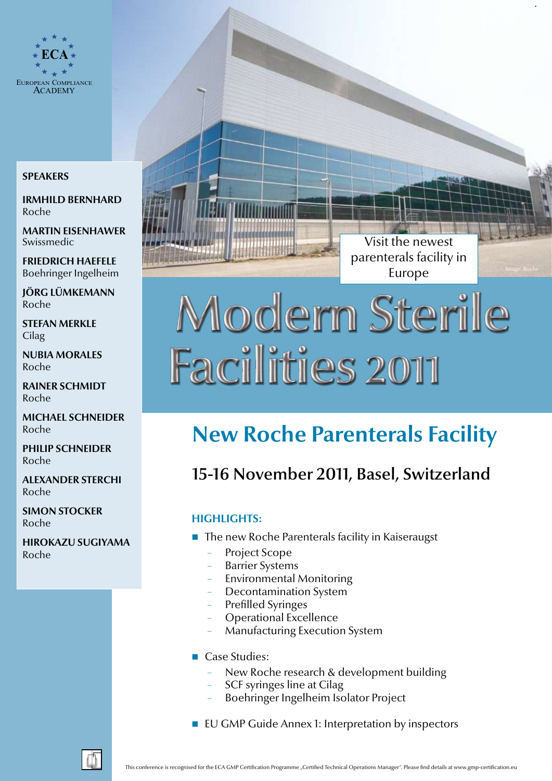

#### **Speakers**

**Irmhild Bernhard** Roche

**Martin Eisenhawer** Swissmedic

**Friedrich Haefele** Boehringer Ingelheim

**Jörg Lümkemann** Roche

**Stefan Merkle Cilag** 

**Nubia Morales** Roche

**Rainer Schmidt** Roche

**Michael Schneider** Roche

**Philip Schneider** Roche

**Alexander Sterchi** Roche

**Simon Stocker** Roche

**Hirokazu Sugiyama** Roche

Visit the newest parenterals facility in Europe

# Modern Sterile **Facilities 2011**

## **New Roche Parenterals Facility**

## 15-16 November 2011, Basel, Switzerland

### **highlights:**

- $\blacksquare$  The new Roche Parenterals facility in Kaiseraugst
	- − Project Scope
	- Barrier Systems
	- Environmental Monitoring
	- Decontamination System
	- − Prefilled Syringes
	- Operational Excellence
	- − Manufacturing Execution System
- **Case Studies:** 
	- New Roche research & development building
	- SCF syringes line at Cilag
	- − Boehringer Ingelheim Isolator Project
- **EU GMP Guide Annex 1: Interpretation by inspectors**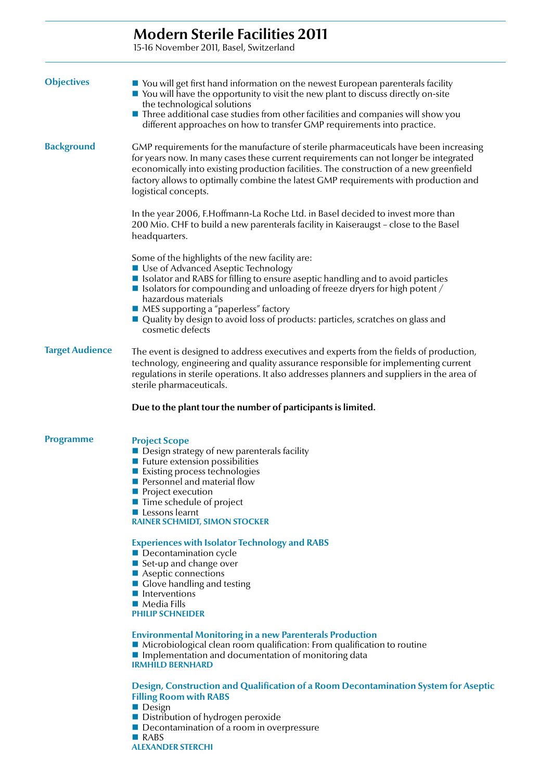|                        | <b>Modern Sterile Facilities 2011</b><br>15-16 November 2011, Basel, Switzerland                                                                                                                                                                                                                                                                                                                                                          |
|------------------------|-------------------------------------------------------------------------------------------------------------------------------------------------------------------------------------------------------------------------------------------------------------------------------------------------------------------------------------------------------------------------------------------------------------------------------------------|
|                        |                                                                                                                                                                                                                                                                                                                                                                                                                                           |
| <b>Objectives</b>      | $\blacksquare$ You will get first hand information on the newest European parenterals facility<br>$\blacksquare$ You will have the opportunity to visit the new plant to discuss directly on-site<br>the technological solutions<br>$\blacksquare$ Three additional case studies from other facilities and companies will show you<br>different approaches on how to transfer GMP requirements into practice.                             |
| <b>Background</b>      | GMP requirements for the manufacture of sterile pharmaceuticals have been increasing<br>for years now. In many cases these current requirements can not longer be integrated<br>economically into existing production facilities. The construction of a new greenfield<br>factory allows to optimally combine the latest GMP requirements with production and<br>logistical concepts.                                                     |
|                        | In the year 2006, F.Hoffmann-La Roche Ltd. in Basel decided to invest more than<br>200 Mio. CHF to build a new parenterals facility in Kaiseraugst - close to the Basel<br>headquarters.                                                                                                                                                                                                                                                  |
|                        | Some of the highlights of the new facility are:<br>Use of Advanced Aseptic Technology<br>I Isolator and RABS for filling to ensure aseptic handling and to avoid particles<br>■ Isolators for compounding and unloading of freeze dryers for high potent $\land$<br>hazardous materials<br>■ MES supporting a "paperless" factory<br>■ Quality by design to avoid loss of products: particles, scratches on glass and<br>cosmetic defects |
| <b>Target Audience</b> | The event is designed to address executives and experts from the fields of production,<br>technology, engineering and quality assurance responsible for implementing current<br>regulations in sterile operations. It also addresses planners and suppliers in the area of<br>sterile pharmaceuticals.                                                                                                                                    |
|                        | Due to the plant tour the number of participants is limited.                                                                                                                                                                                                                                                                                                                                                                              |
| <b>Programme</b>       | <b>Project Scope</b><br>$\blacksquare$ Design strategy of new parenterals facility<br><b>E</b> Future extension possibilities<br>Existing process technologies<br>Personnel and material flow<br><b>Project execution</b><br>■ Time schedule of project<br>$\blacksquare$ Lessons learnt<br><b>RAINER SCHMIDT, SIMON STOCKER</b>                                                                                                          |
|                        | <b>Experiences with Isolator Technology and RABS</b><br>Decontamination cycle<br>■ Set-up and change over<br>Aseptic connections<br>■ Glove handling and testing<br>Interventions<br>$\blacksquare$ Media Fills<br><b>PHILIP SCHNEIDER</b>                                                                                                                                                                                                |
|                        | <b>Environmental Monitoring in a new Parenterals Production</b><br>■ Microbiological clean room qualification: From qualification to routine<br>Implementation and documentation of monitoring data<br><b>IRMHILD BERNHARD</b>                                                                                                                                                                                                            |
|                        | Design, Construction and Qualification of a Room Decontamination System for Aseptic                                                                                                                                                                                                                                                                                                                                                       |

- **Filling Room with RABS**
- **Design**
- **Distribution of hydrogen peroxide**
- Decontamination of a room in overpressure
- **RABS**
- **Alexander Sterchi**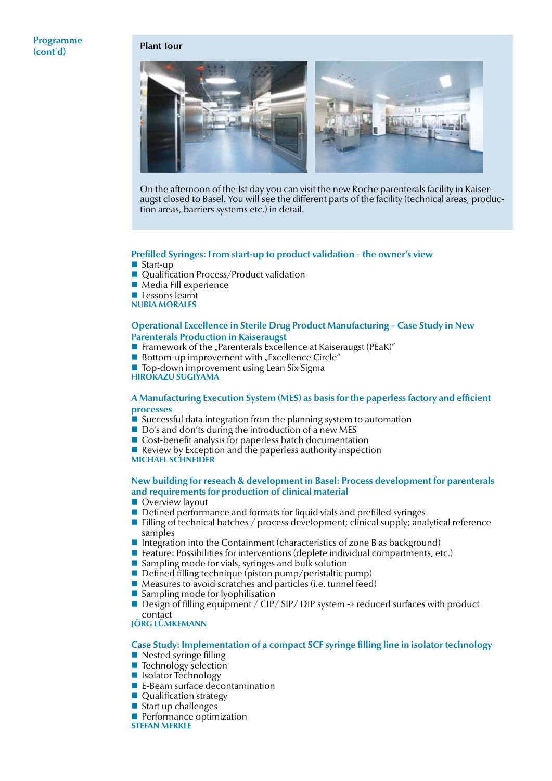#### **Programme (cont'd) Plant Tour**



On the afternoon of the 1st day you can visit the new Roche parenterals facility in Kaiseraugst closed to Basel. You will see the different parts of the facility (technical areas, production areas, barriers systems etc.) in detail.

#### **Prefilled Syringes: From start-up to product validation – the owner's view**

- Start-up
- Qualification Process/Product validation
- Media Fill experience
- Lessons learnt
- **Nubia Morales**

#### **Operational Excellence in Sterile Drug Product Manufacturing – Case Study in New Parenterals Production in Kaiseraugst**

- Framework of the "Parenterals Excellence at Kaiseraugst (PEaK)"
- $\blacksquare$  Bottom-up improvement with "Excellence Circle"
- $\blacksquare$  Top-down improvement using Lean Six Sigma
- **Hirokazu Sugiyama**

#### **A Manufacturing Execution System (MES) as basis for the paperless factory and efficient processes**

- $\blacksquare$  Successful data integration from the planning system to automation
- Do's and don'ts during the introduction of a new MES
- Cost-benefit analysis for paperless batch documentation
- Review by Exception and the paperless authority inspection
- **Michael Schneider**

#### **New building for reseach & development in Basel: Process development for parenterals and requirements for production of clinical material**

- **Overview layout**
- Defined performance and formats for liquid vials and prefilled syringes
- **Filling of technical batches / process development; clinical supply; analytical reference** samples
- Integration into the Containment (characteristics of zone B as background)
- Feature: Possibilities for interventions (deplete individual compartments, etc.)
- Sampling mode for vials, syringes and bulk solution
- $\blacksquare$  Defined filling technique (piston pump/peristaltic pump)
- Measures to avoid scratches and particles (i.e. tunnel feed)
- $\blacksquare$  Sampling mode for lyophilisation
- Design of filling equipment / CIP/ SIP/ DIP system -> reduced surfaces with product contact

**Jörg Lümkemann**

#### **Case Study: Implementation of a compact SCF syringe filling line in isolator technology**

- Nested syringe filling
- **Technology selection**
- Isolator Technology
- E-Beam surface decontamination
- Qualification strategy
- Start up challenges
- **Performance optimization**
- **Stefan Merkle**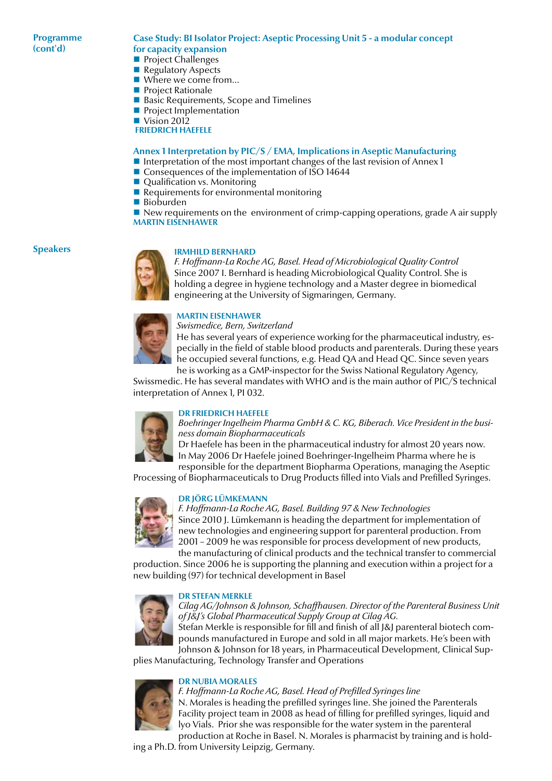#### **Programme (cont'd)**

#### **Case Study: BI Isolator Project: Aseptic Processing Unit 5 - a modular concept for capacity expansion**

- **Project Challenges**
- Regulatory Aspects
- Where we come from...
- **Project Rationale**
- Basic Requirements, Scope and Timelines
- **Project Implementation**
- Vision 2012

 **Friedrich Haefele**

#### **Annex 1 Interpretation by PIC/S / EMA, Implications in Aseptic Manufacturing**

- Interpretation of the most important changes of the last revision of Annex 1
- Consequences of the implementation of ISO 14644
- Qualification vs. Monitoring
- $\blacksquare$  Requirements for environmental monitoring
- Bioburden

 $\blacksquare$  New requirements on the environment of crimp-capping operations, grade A air supply **Martin Eisenhawer**

#### **Speakers**



#### **Irmhild Bernhard**

*F. Hoffmann-La Roche AG, Basel. Head of Microbiological Quality Control* Since 2007 I. Bernhard is heading Microbiological Quality Control. She is holding a degree in hygiene technology and a Master degree in biomedical engineering at the University of Sigmaringen, Germany.



#### **Martin Eisenhawer**

*Swismedice, Bern, Switzerland* He has several years of experience working for the pharmaceutical industry, especially in the field of stable blood products and parenterals. During these years he occupied several functions, e.g. Head QA and Head QC. Since seven years he is working as a GMP-inspector for the Swiss National Regulatory Agency,

Swissmedic. He has several mandates with WHO and is the main author of PIC/S technical interpretation of Annex 1, PI 032.

#### **Dr Friedrich Haefele**



*Boehringer Ingelheim Pharma GmbH & C. KG, Biberach. Vice President in the business domain Biopharmaceuticals*

Dr Haefele has been in the pharmaceutical industry for almost 20 years now. In May 2006 Dr Haefele joined Boehringer-Ingelheim Pharma where he is

responsible for the department Biopharma Operations, managing the Aseptic Processing of Biopharmaceuticals to Drug Products filled into Vials and Prefilled Syringes.



#### **Dr Jörg Lümkemann**

*F. Hoffmann-La Roche AG, Basel. Building 97 & New Technologies* Since 2010 J. Lümkemann is heading the department for implementation of new technologies and engineering support for parenteral production. From 2001 – 2009 he was responsible for process development of new products, the manufacturing of clinical products and the technical transfer to commercial

production. Since 2006 he is supporting the planning and execution within a project for a new building (97) for technical development in Basel

#### **Dr Stefan Merkle**



*Cilag AG/Johnson & Johnson, Schaffhausen. Director of the Parenteral Business Unit of J&J's Global Pharmaceutical Supply Group at Cilag AG.* 

Stefan Merkle is responsible for fill and finish of all J&J parenteral biotech compounds manufactured in Europe and sold in all major markets. He's been with Johnson & Johnson for 18 years, in Pharmaceutical Development, Clinical Sup-

plies Manufacturing, Technology Transfer and Operations



#### **Dr Nubia Morales**

*F. Hoffmann-La Roche AG, Basel. Head of Prefilled Syringes line* N. Morales is heading the prefilled syringes line. She joined the Parenterals Facility project team in 2008 as head of filling for prefilled syringes, liquid and lyo Vials. Prior she was responsible for the water system in the parenteral production at Roche in Basel. N. Morales is pharmacist by training and is hold-

ing a Ph.D. from University Leipzig, Germany.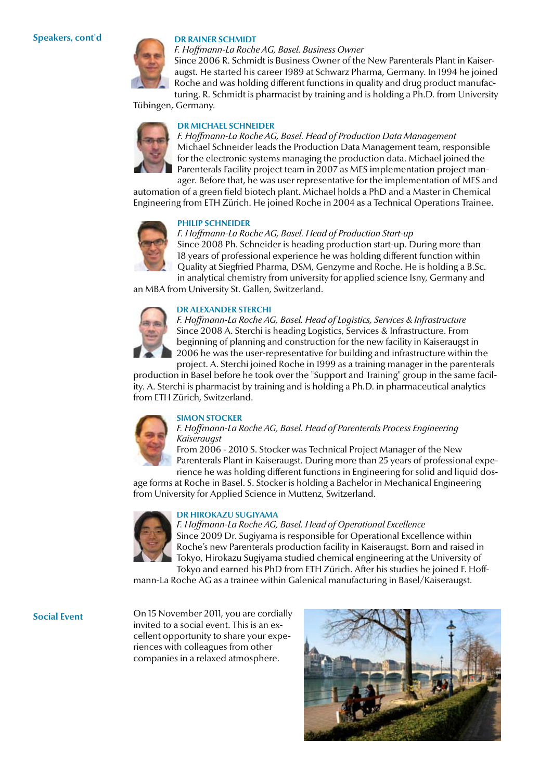#### **Dr Rainer Schmidt**



*F. Hoffmann-La Roche AG, Basel. Business Owner* Since 2006 R. Schmidt is Business Owner of the New Parenterals Plant in Kaiseraugst. He started his career 1989 at Schwarz Pharma, Germany. In 1994 he joined

Roche and was holding different functions in quality and drug product manufacturing. R. Schmidt is pharmacist by training and is holding a Ph.D. from University

Tübingen, Germany.



**Dr Michael Schneider**

*F. Hoffmann-La Roche AG, Basel. Head of Production Data Management* Michael Schneider leads the Production Data Management team, responsible for the electronic systems managing the production data. Michael joined the Parenterals Facility project team in 2007 as MES implementation project man-

ager. Before that, he was user representative for the implementation of MES and automation of a green field biotech plant. Michael holds a PhD and a Master in Chemical Engineering from ETH Zürich. He joined Roche in 2004 as a Technical Operations Trainee.

#### **Philip Schneider**



*F. Hoffmann-La Roche AG, Basel. Head of Production Start-up*

Since 2008 Ph. Schneider is heading production start-up. During more than 18 years of professional experience he was holding different function within Quality at Siegfried Pharma, DSM, Genzyme and Roche. He is holding a B.Sc. in analytical chemistry from university for applied science Isny, Germany and

an MBA from University St. Gallen, Switzerland.

## **Dr Alexander Sterchi**



project. A. Sterchi joined Roche in 1999 as a training manager in the parenterals production in Basel before he took over the "Support and Training" group in the same facility. A. Sterchi is pharmacist by training and is holding a Ph.D. in pharmaceutical analytics from ETH Zürich, Switzerland.



#### **Simon Stocker**

*F. Hoffmann-La Roche AG, Basel. Head of Parenterals Process Engineering Kaiseraugst*

From 2006 - 2010 S. Stocker was Technical Project Manager of the New Parenterals Plant in Kaiseraugst. During more than 25 years of professional experience he was holding different functions in Engineering for solid and liquid dos-

age forms at Roche in Basel. S. Stocker is holding a Bachelor in Mechanical Engineering from University for Applied Science in Muttenz, Switzerland.



#### **Dr Hirokazu Sugiyama**

*F. Hoffmann-La Roche AG, Basel. Head of Operational Excellence* Since 2009 Dr. Sugiyama is responsible for Operational Excellence within Roche's new Parenterals production facility in Kaiseraugst. Born and raised in Tokyo, Hirokazu Sugiyama studied chemical engineering at the University of

Tokyo and earned his PhD from ETH Zürich. After his studies he joined F. Hoffmann-La Roche AG as a trainee within Galenical manufacturing in Basel/Kaiseraugst.

**Social Event**

On 15 November 2011, you are cordially invited to a social event. This is an excellent opportunity to share your experiences with colleagues from other companies in a relaxed atmosphere.